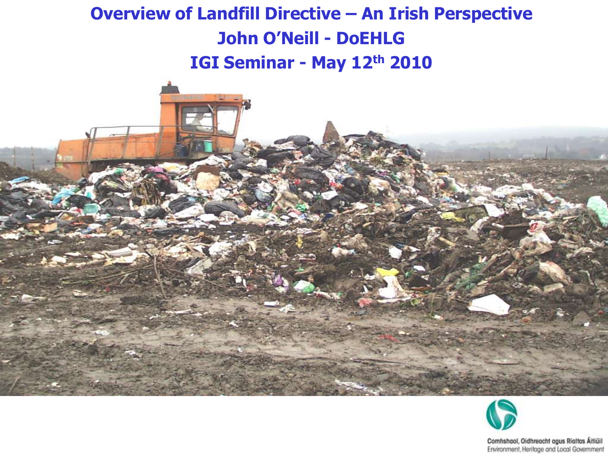#### **Overview of Landfill Directive – An Irish Perspective John O'Neill - DoEHLG IGI Seminar - May 12th 2010**



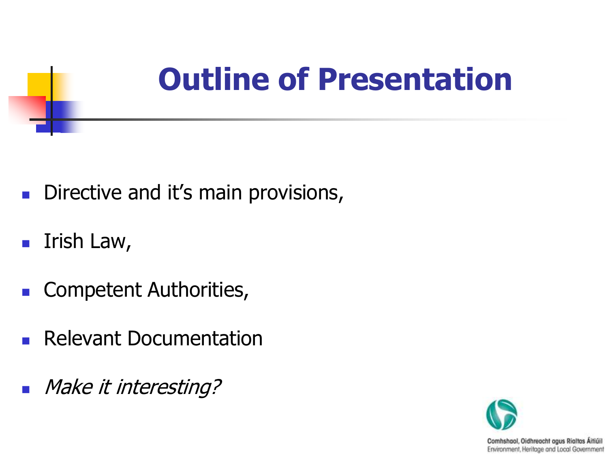### **Outline of Presentation**

- Directive and it's main provisions,
- $\blacksquare$  Irish Law,
- **Competent Authorities,**
- Relevant Documentation
- **Make it interesting?**

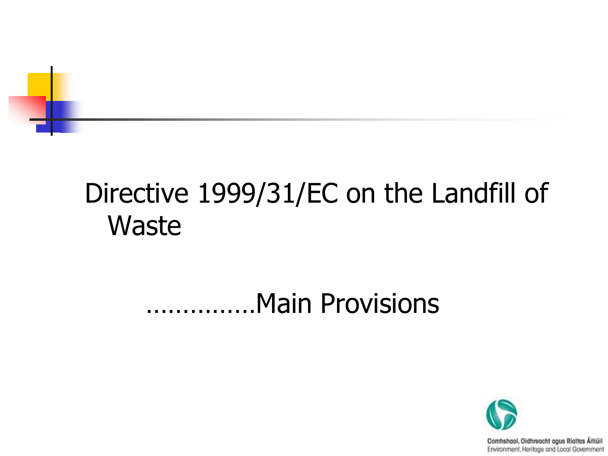

### Directive 1999/31/EC on the Landfill of **Waste**

#### ……………Main Provisions

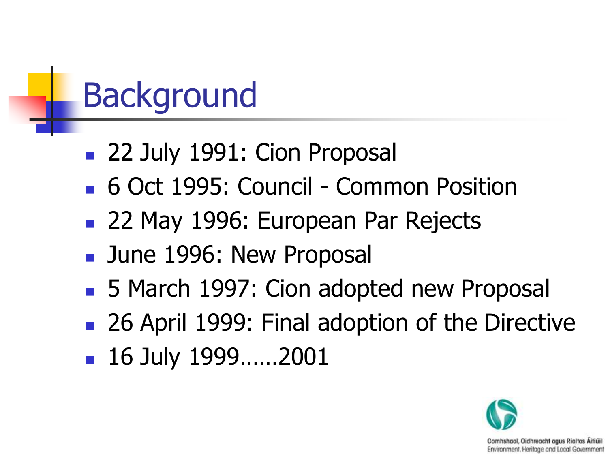### **Background**

- 22 July 1991: Cion Proposal
- 6 Oct 1995: Council Common Position
- 22 May 1996: European Par Rejects
- **June 1996: New Proposal**
- 5 March 1997: Cion adopted new Proposal
- 26 April 1999: Final adoption of the Directive
- 16 July 1999……2001

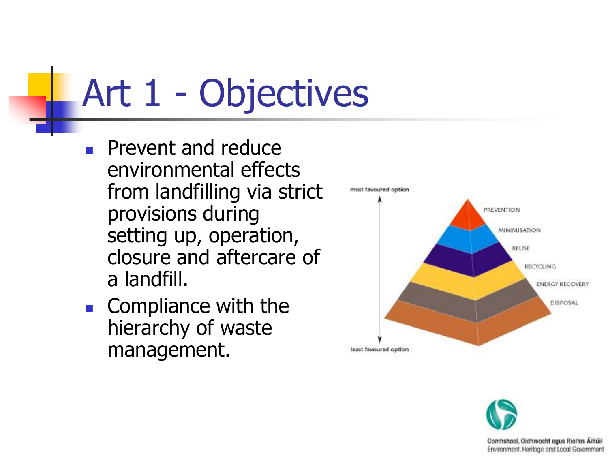# Art 1 - Objectives

- **Prevent and reduce** environmental effects from landfilling via strict provisions during setting up, operation, closure and aftercare of a landfill.
- **Compliance with the** hierarchy of waste management.



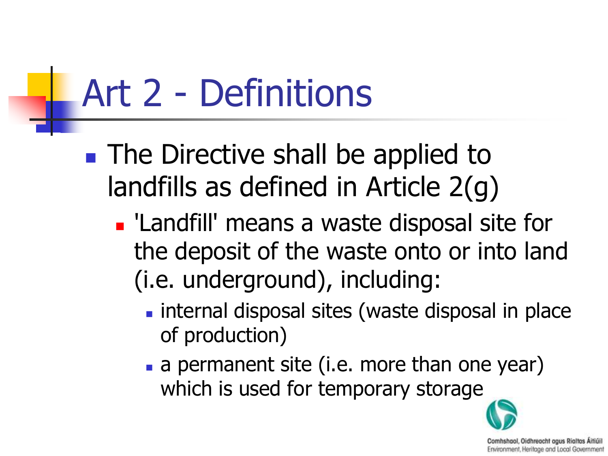# Art 2 - Definitions

- **The Directive shall be applied to** landfills as defined in Article 2(g)
	- **Landfill' means a waste disposal site for** the deposit of the waste onto or into land (i.e. underground), including:
		- **Internal disposal sites (waste disposal in place** of production)
		- a permanent site (i.e. more than one year) which is used for temporary storage

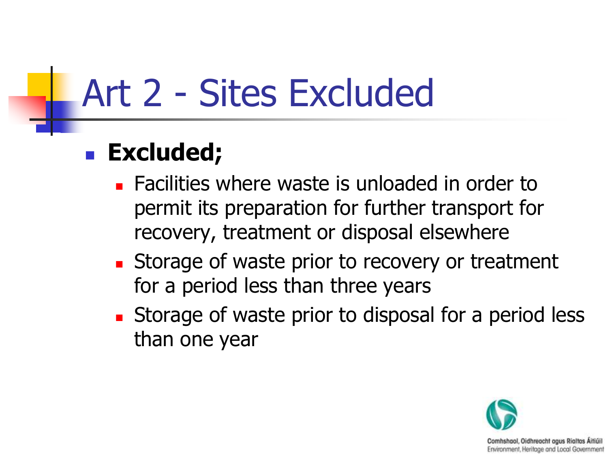### Art 2 - Sites Excluded

#### **Excluded;**

- **EXEC** Facilities where waste is unloaded in order to permit its preparation for further transport for recovery, treatment or disposal elsewhere
- **Storage of waste prior to recovery or treatment** for a period less than three years
- **Storage of waste prior to disposal for a period less** than one year

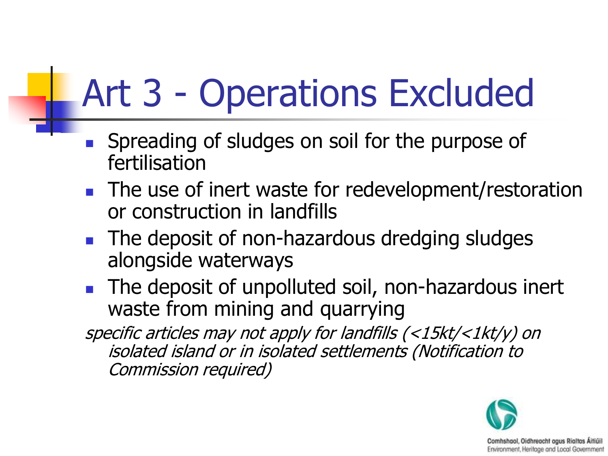### Art 3 - Operations Excluded

- Spreading of sludges on soil for the purpose of fertilisation
- **The use of inert waste for redevelopment/restoration** or construction in landfills
- **The deposit of non-hazardous dredging sludges** alongside waterways
- The deposit of unpolluted soil, non-hazardous inert waste from mining and quarrying

specific articles may not apply for landfills (<15kt/<1kt/y) on isolated island or in isolated settlements (Notification to Commission required)

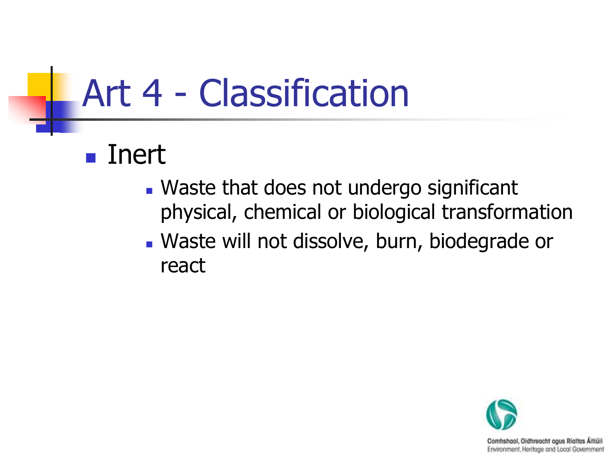### Art 4 - Classification

#### Inert

- Waste that does not undergo significant physical, chemical or biological transformation
- Waste will not dissolve, burn, biodegrade or react

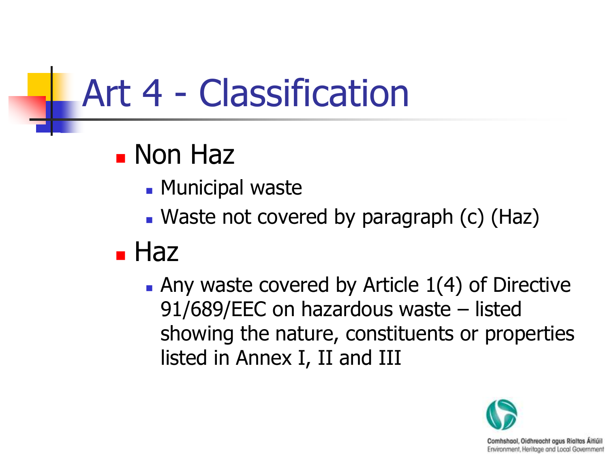### Art 4 - Classification

### **Non Haz**

- **Municipal waste**
- Waste not covered by paragraph (c) (Haz)

### **Haz**

 $\blacksquare$  Any waste covered by Article 1(4) of Directive 91/689/EEC on hazardous waste – listed showing the nature, constituents or properties listed in Annex I, II and III

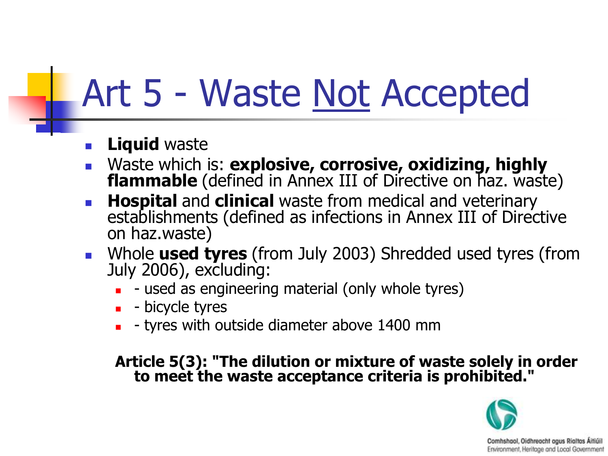### Art 5 - Waste Not Accepted

#### **Liquid** waste

- Waste which is: **explosive, corrosive, oxidizing, highly flammable** (defined in Annex III of Directive on haz. waste)
- **Hospital** and **clinical** waste from medical and veterinary establishments (defined as infections in Annex III of Directive on haz.waste)
- Whole **used tyres** (from July 2003) Shredded used tyres (from July 2006), excluding:
	- used as engineering material (only whole tyres)
	- $\blacksquare$  bicycle tyres
	- tyres with outside diameter above 1400 mm

#### **Article 5(3): "The dilution or mixture of waste solely in order to meet the waste acceptance criteria is prohibited."**

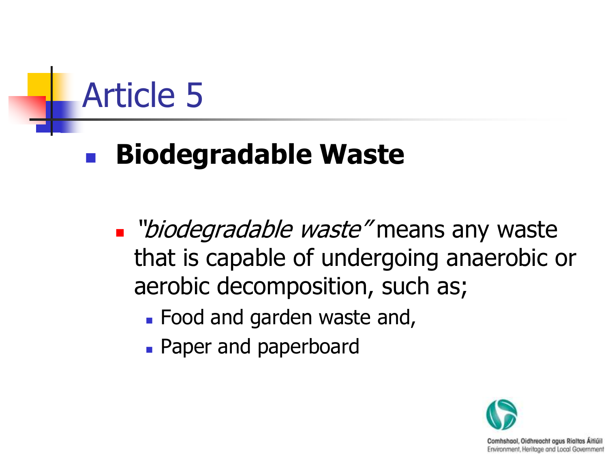### Article 5

### **Biodegradable Waste**

Diodegradable waste" means any waste that is capable of undergoing anaerobic or aerobic decomposition, such as;

- **Food and garden waste and,**
- **Paper and paperboard**

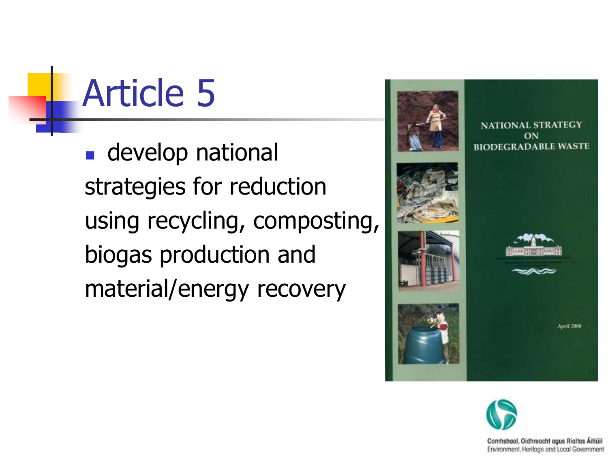Article 5

**develop national** strategies for reduction using recycling, composting, biogas production and material/energy recovery



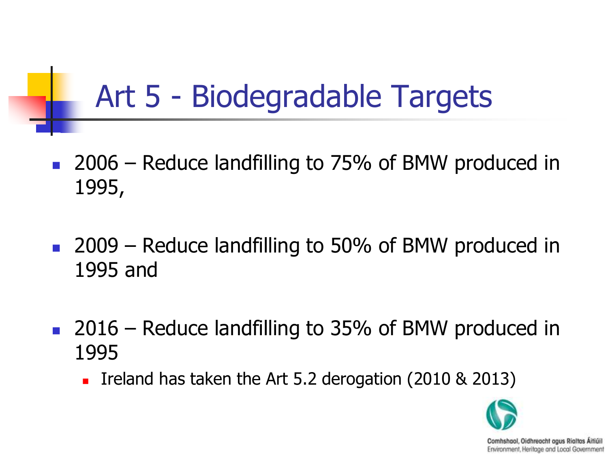### Art 5 - Biodegradable Targets

- 2006 Reduce landfilling to 75% of BMW produced in 1995,
- 2009 Reduce landfilling to 50% of BMW produced in 1995 and
- 2016 Reduce landfilling to 35% of BMW produced in 1995
	- Ireland has taken the Art 5.2 derogation (2010 & 2013)

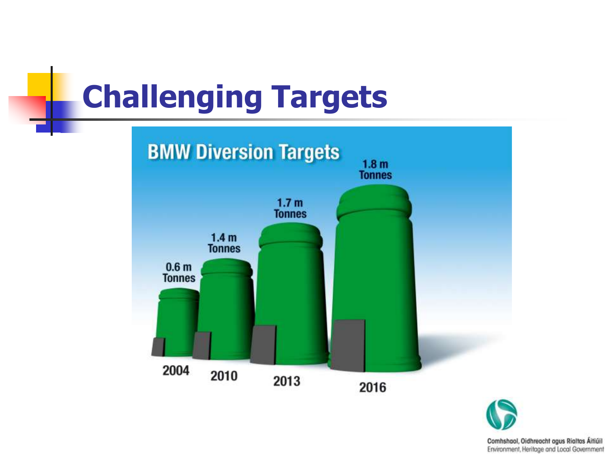### **Challenging Targets**



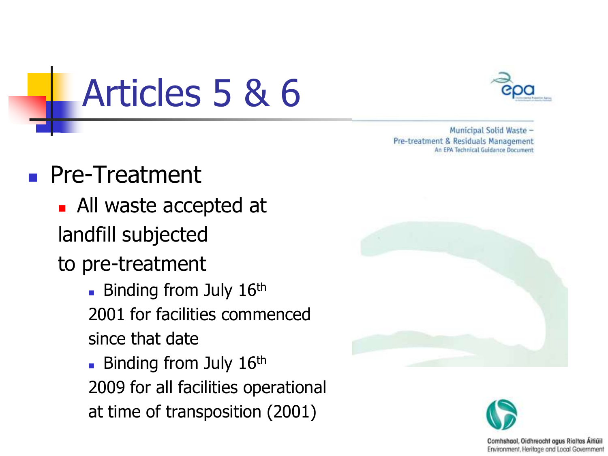Municipal Solid Waste -Pre-treatment & Residuals Management An EPA Technical Guidance Document

#### **Pre-Treatment**

- All waste accepted at landfill subjected
- to pre-treatment
	- **Binding from July 16th** 2001 for facilities commenced since that date

Articles 5 & 6

**Binding from July 16th** 2009 for all facilities operational at time of transposition (2001)



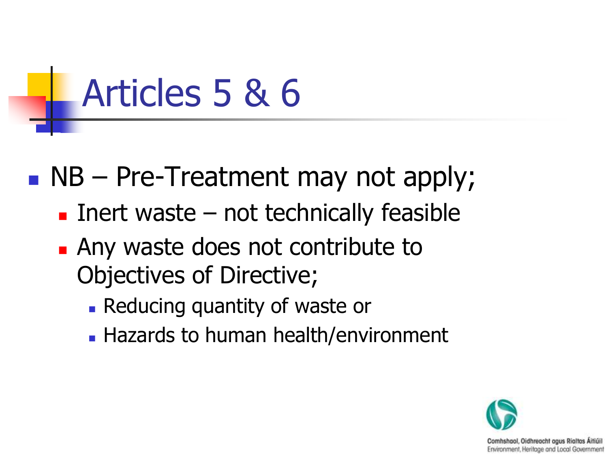### Articles 5 & 6

 $\blacksquare$  NB – Pre-Treatment may not apply;

- Inert waste  $-$  not technically feasible
- **Any waste does not contribute to** Objectives of Directive;
	- Reducing quantity of waste or
	- Hazards to human health/environment

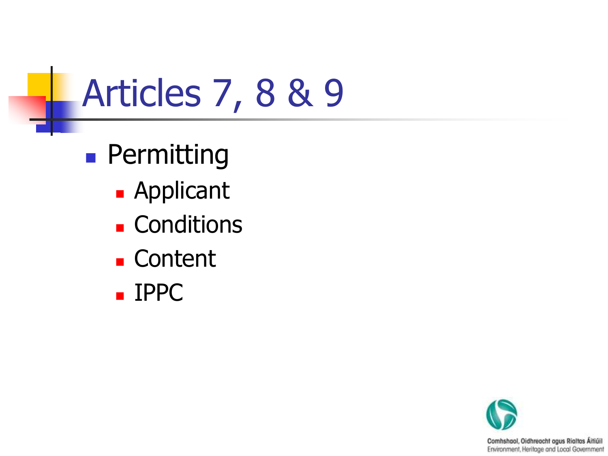### Articles 7, 8 & 9

- **Permitting** 
	- Applicant
	- **Conditions**
	- **Content**
	- IPPC

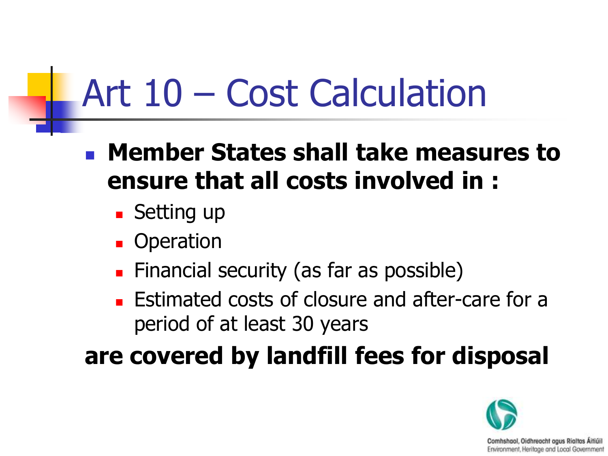### Art 10 – Cost Calculation

 **Member States shall take measures to ensure that all costs involved in :**

- **Setting up**
- **Deration**
- **Financial security (as far as possible)**
- **Estimated costs of closure and after-care for a** period of at least 30 years

**are covered by landfill fees for disposal**

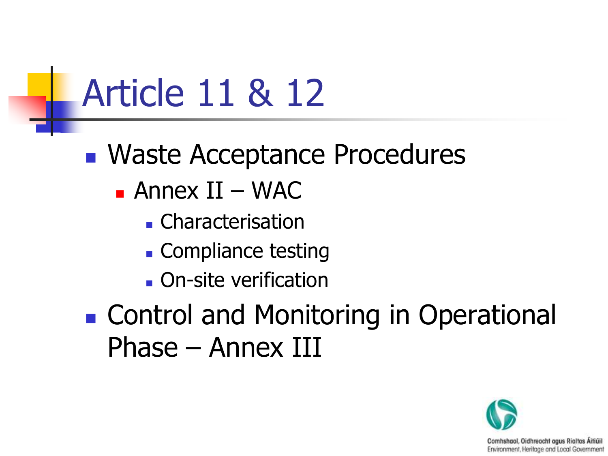### Article 11 & 12

- Waste Acceptance Procedures
	- Annex II WAC
		- Characterisation
		- Compliance testing
		- **On-site verification**
- **Example 21 Control and Monitoring in Operational** Phase – Annex III

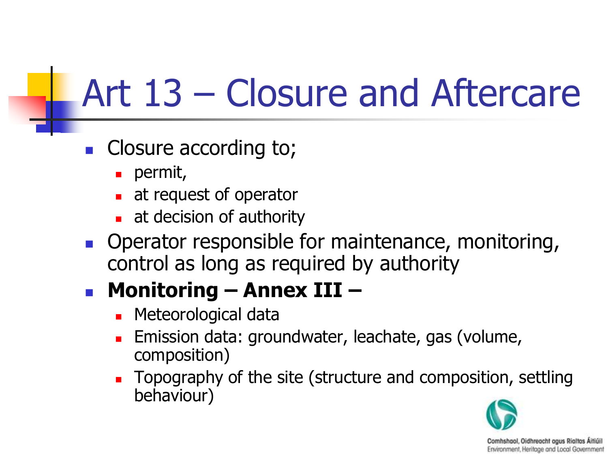### Art 13 – Closure and Aftercare

- **Closure according to;** 
	- **permit,**
	- **at request of operator**
	- at decision of authority
- **Operator responsible for maintenance, monitoring,** control as long as required by authority

#### **Monitoring – Annex III –**

- **Neteorological data**
- Emission data: groundwater, leachate, gas (volume, composition)
- Topography of the site (structure and composition, settling behaviour)

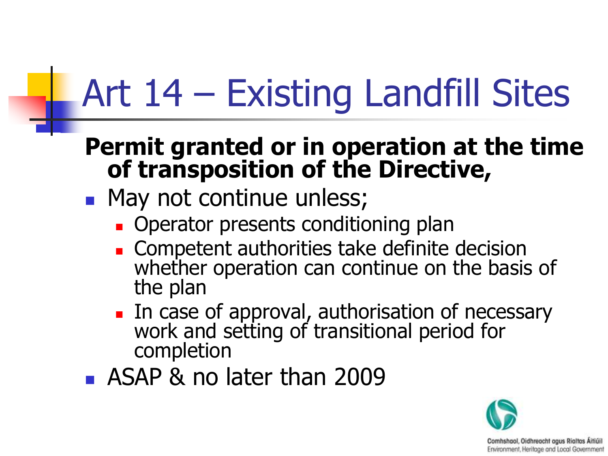# Art 14 – Existing Landfill Sites

#### **Permit granted or in operation at the time of transposition of the Directive,**

- May not continue unless;
	- **Operator presents conditioning plan**
	- **Competent authorities take definite decision** whether operation can continue on the basis of the plan
	- In case of approval, authorisation of necessary work and setting of transitional period for completion
- **ASAP & no later than 2009**

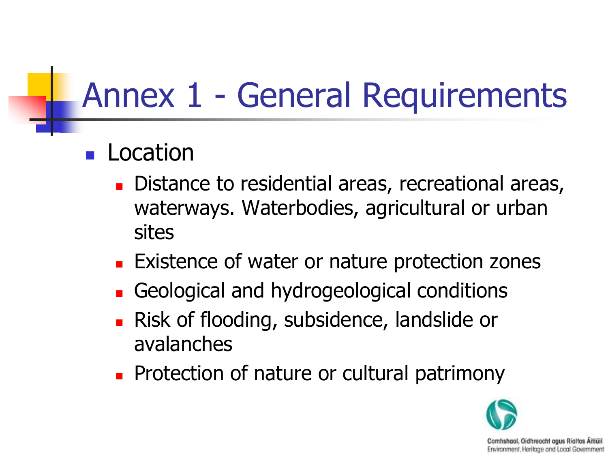### Annex 1 - General Requirements

#### Location

- Distance to residential areas, recreational areas, waterways. Waterbodies, agricultural or urban sites
- **Existence of water or nature protection zones**
- Geological and hydrogeological conditions
- **Risk of flooding, subsidence, landslide or** avalanches
- **Protection of nature or cultural patrimony**

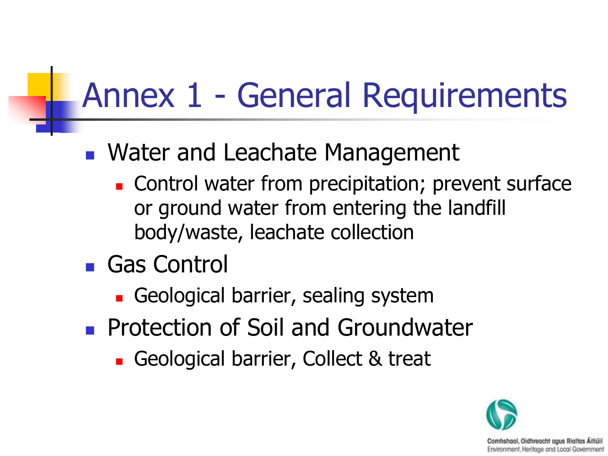### Annex 1 - General Requirements

#### **Nater and Leachate Management**

- **Control water from precipitation; prevent surface** or ground water from entering the landfill body/waste, leachate collection
- **Gas Control** 
	- Geological barrier, sealing system
- **Protection of Soil and Groundwater** 
	- Geological barrier, Collect & treat

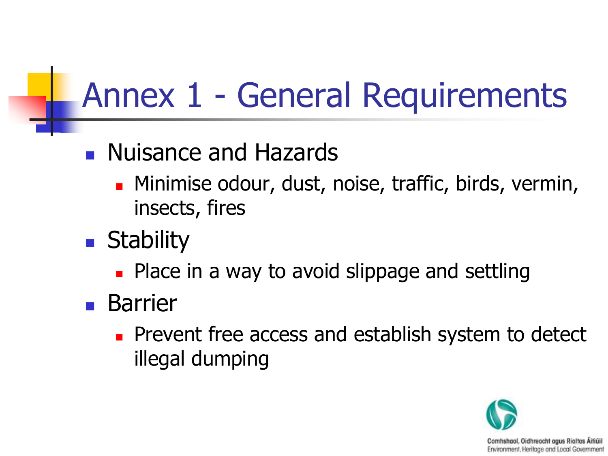### Annex 1 - General Requirements

#### **Nuisance and Hazards**

- **Minimise odour, dust, noise, traffic, birds, vermin,** insects, fires
- **Stability** 
	- **Place in a way to avoid slippage and settling**
- **Barrier** 
	- **Prevent free access and establish system to detect** illegal dumping

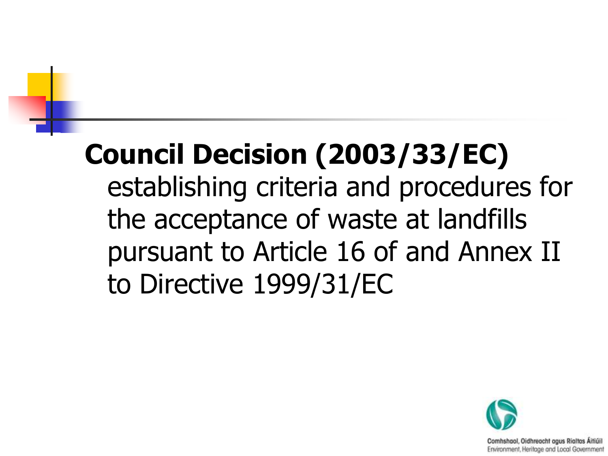### **Council Decision (2003/33/EC)** establishing criteria and procedures for the acceptance of waste at landfills pursuant to Article 16 of and Annex II to Directive 1999/31/EC

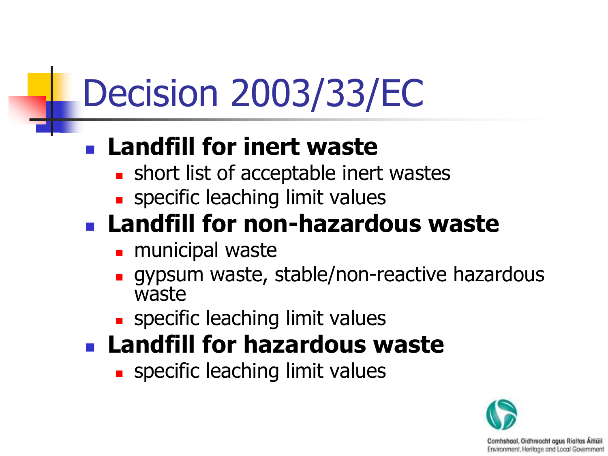#### **Landfill for inert waste**

- **short list of acceptable inert wastes**
- **specific leaching limit values**

#### **Landfill for non-hazardous waste**

- **n** municipal waste
- **qypsum waste, stable/non-reactive hazardous** waste
- **specific leaching limit values**
- **Landfill for hazardous waste**
	- **s** specific leaching limit values

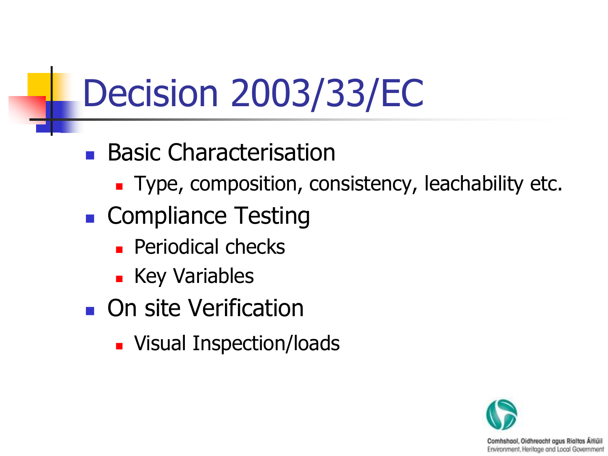- **Basic Characterisation** 
	- Type, composition, consistency, leachability etc.
- Compliance Testing
	- **Periodical checks**
	- **Key Variables**
- **On site Verification** 
	- **Nisual Inspection/loads**

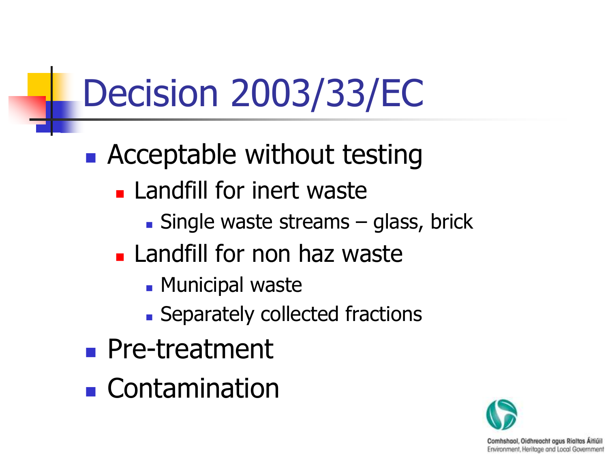- **Acceptable without testing** 
	- **Landfill for inert waste** 
		- **Single waste streams glass, brick**
	- **Landfill for non haz waste** 
		- **Municipal waste**
		- **Separately collected fractions**
- **Pre-treatment**
- **E** Contamination

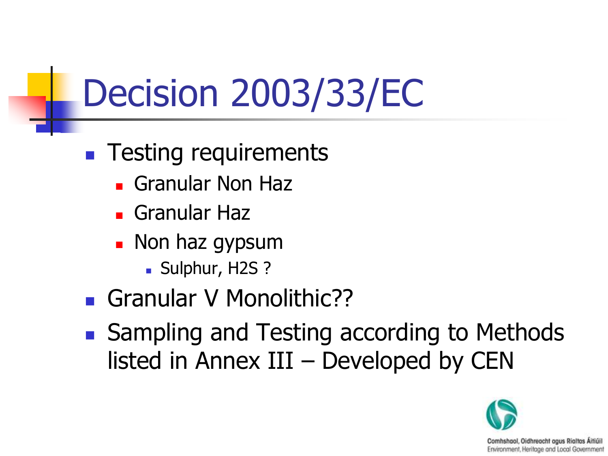- **Testing requirements** 
	- Granular Non Haz
	- Granular Haz
	- **Non haz gypsum** 
		- Sulphur, H2S ?
- Granular V Monolithic??
- Sampling and Testing according to Methods listed in Annex III – Developed by CEN

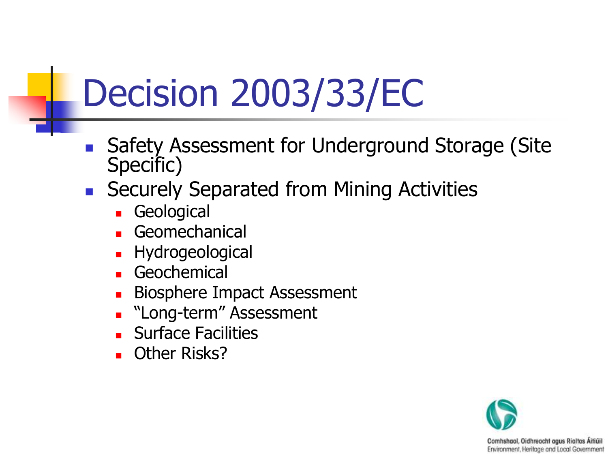- Safety Assessment for Underground Storage (Site Specific)
- **Securely Separated from Mining Activities** 
	- **Geological**
	- Geomechanical
	- Hydrogeological
	- Geochemical
	- Biosphere Impact Assessment
	- **Name Strain and Term**" Assessment
	- **Surface Facilities**
	- **C** Other Risks?

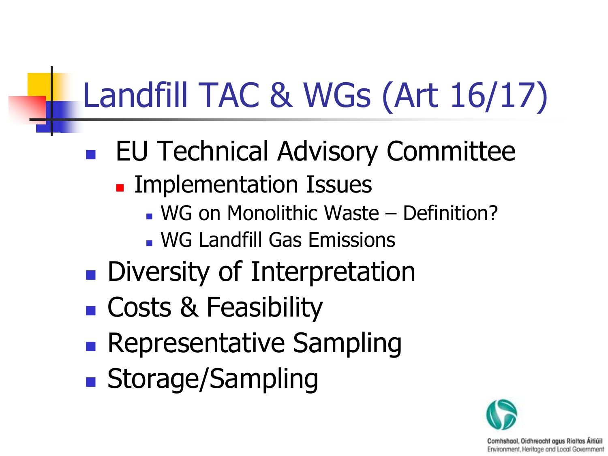### Landfill TAC & WGs (Art 16/17)

- EU Technical Advisory Committee
	- **Exercice Implementation Issues** 
		- WG on Monolithic Waste Definition?
		- WG Landfill Gas Emissions
- **Diversity of Interpretation**
- **Costs & Feasibility**
- **Representative Sampling**
- **Storage/Sampling**

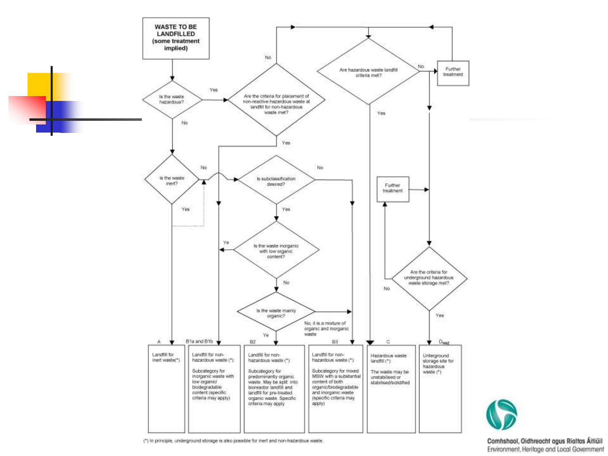

(\*) In principle, underground storage is also possible for inert and non-hazardous waste.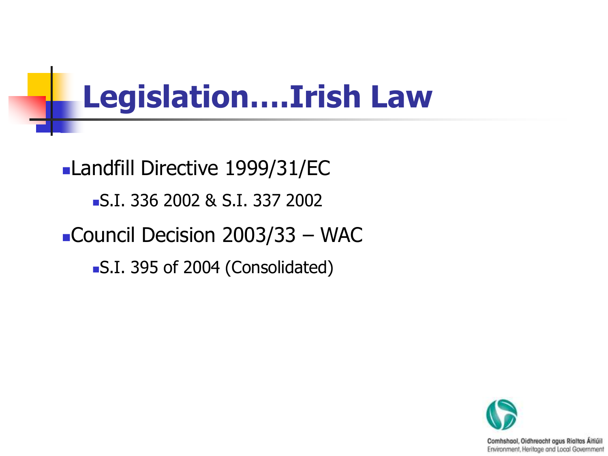### **Legislation….Irish Law**

Landfill Directive 1999/31/EC S.I. 336 2002 & S.I. 337 2002 ■Council Decision 2003/33 – WAC S.I. 395 of 2004 (Consolidated)

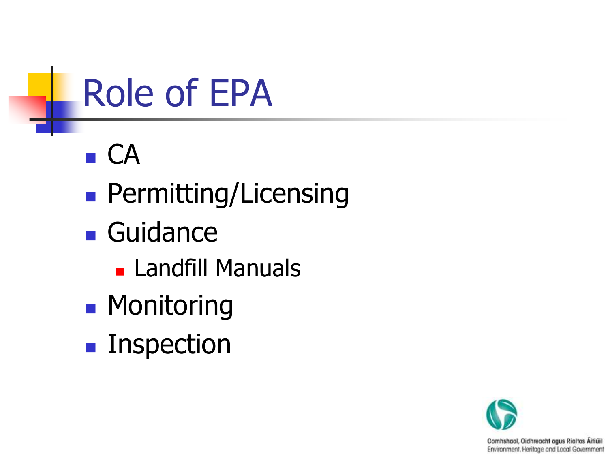

- $\blacksquare$  CA
- **Permitting/Licensing**
- **Guidance** 
	- **Landfill Manuals**
- **Monitoring**
- **Inspection**

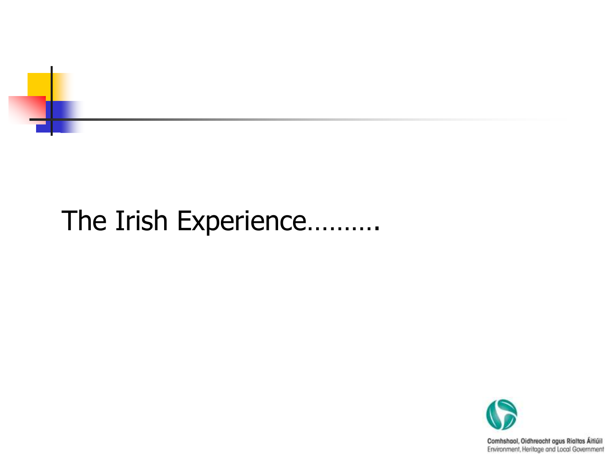

### The Irish Experience……….

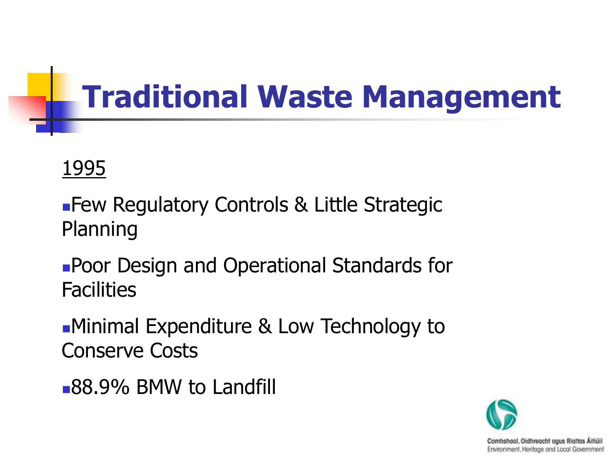### **Traditional Waste Management**

#### 1995

**Few Regulatory Controls & Little Strategic** Planning

Poor Design and Operational Standards for **Facilities** 

Minimal Expenditure & Low Technology to Conserve Costs

88.9% BMW to Landfill

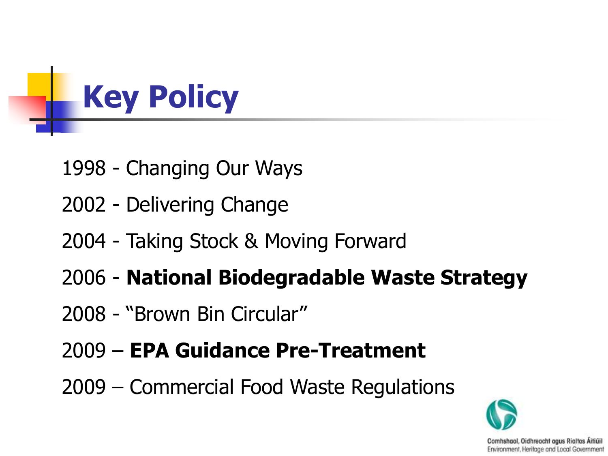

- 1998 Changing Our Ways
- 2002 Delivering Change
- 2004 Taking Stock & Moving Forward
- 2006 **National Biodegradable Waste Strategy**
- 2008 "Brown Bin Circular"
- 2009 **EPA Guidance Pre-Treatment**
- 2009 Commercial Food Waste Regulations

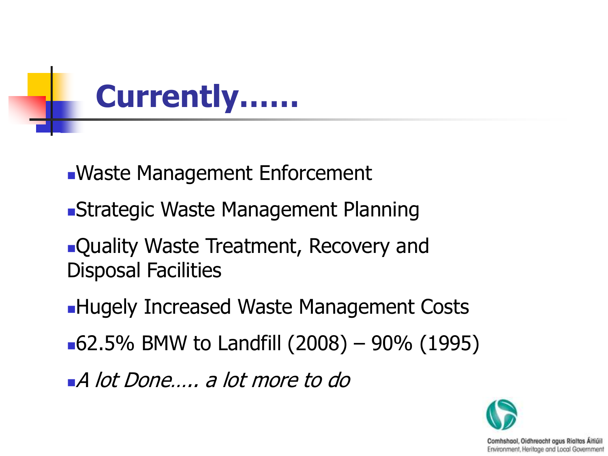

- Waste Management Enforcement
- Strategic Waste Management Planning
- **Quality Waste Treatment, Recovery and** Disposal Facilities
- **Hugely Increased Waste Management Costs**
- 62.5% BMW to Landfill  $(2008) 90%$  (1995)
- A lot Done….. a lot more to do

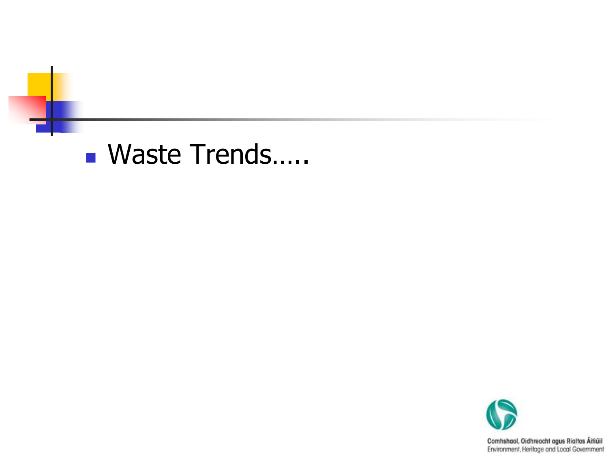### ■ Waste Trends…..

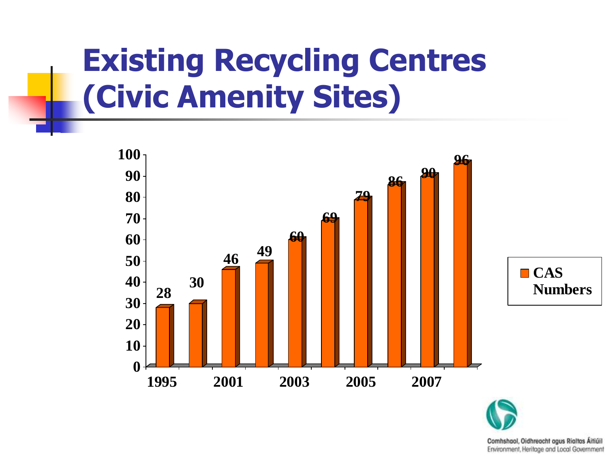### **Existing Recycling Centres (Civic Amenity Sites)**



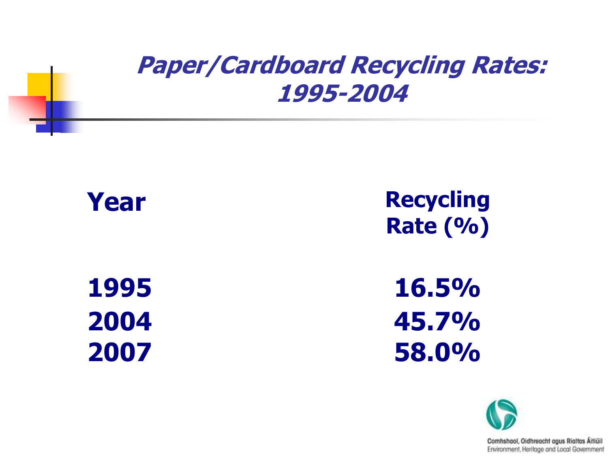#### **Paper/Cardboard Recycling Rates: 1995-2004**



**Year Recycling Rate (%)**

**1995 16.5% 2004 45.7% 2007 58.0%**

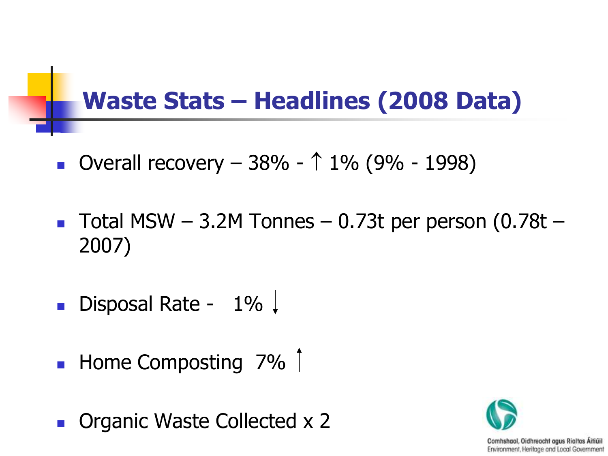#### **Waste Stats – Headlines (2008 Data)**

- Overall recovery  $-38% 1% (9% 1998)$
- Total MSW  $-$  3.2M Tonnes  $-$  0.73t per person (0.78t  $-$ 2007)
- Disposal Rate  $1\%$
- $\blacksquare$  Home Composting 7%  $\lceil$
- **Diamic Waste Collected x 2**

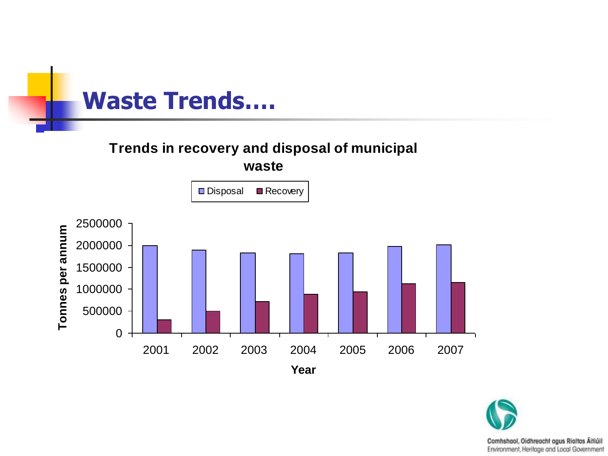

#### **Trends in recovery and disposal of municipal waste**



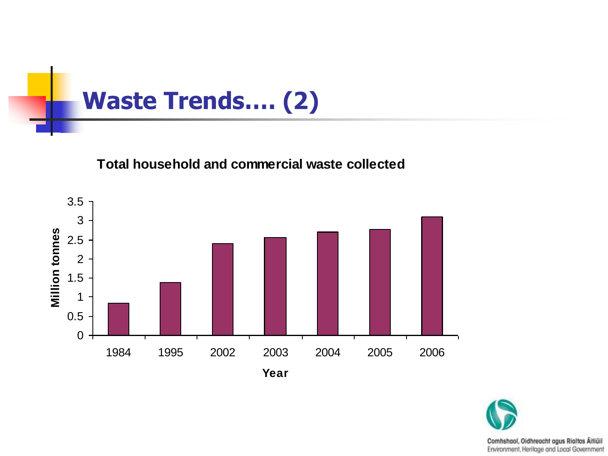

#### **Total household and commercial waste collected**



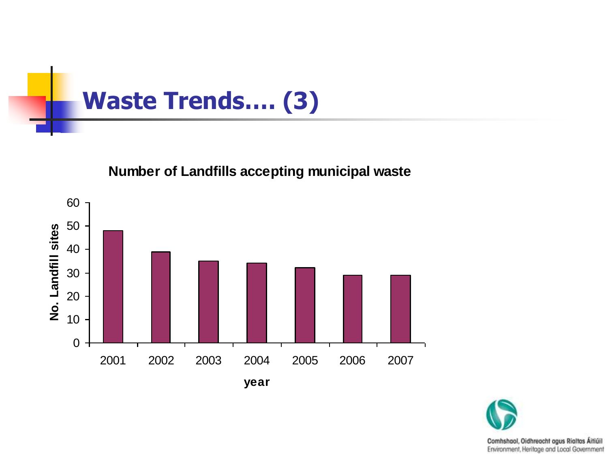

#### **Number of Landfills accepting municipal waste**



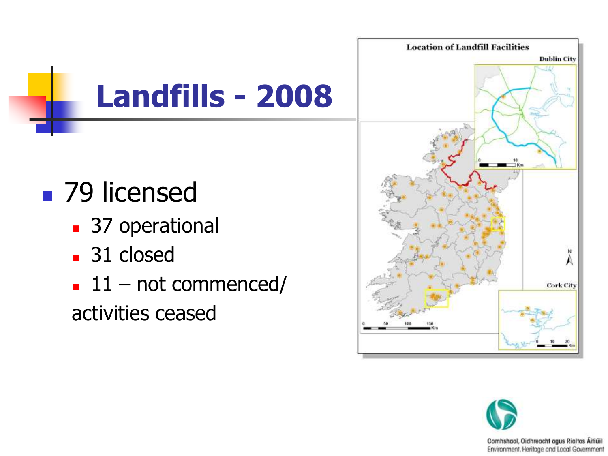

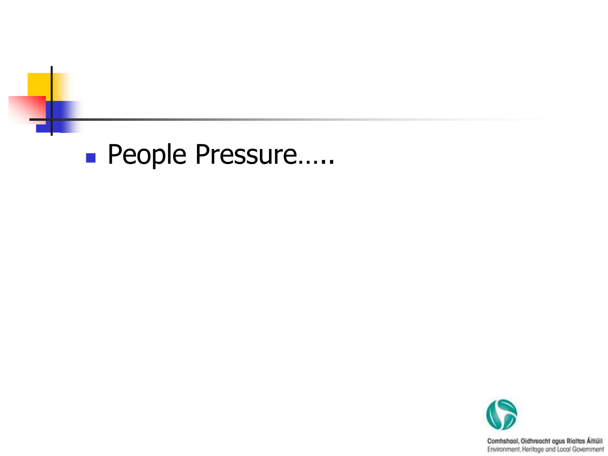#### ■ People Pressure…..

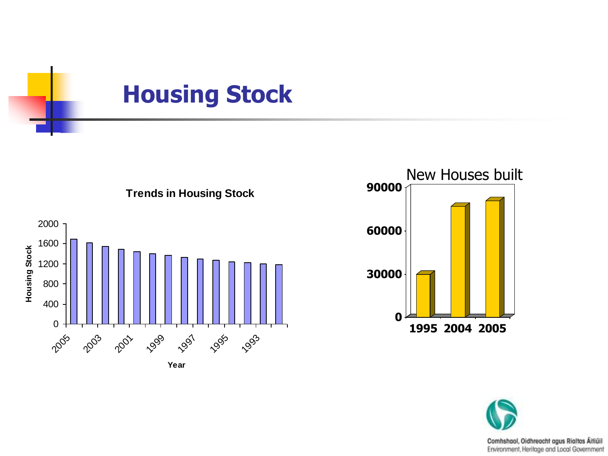





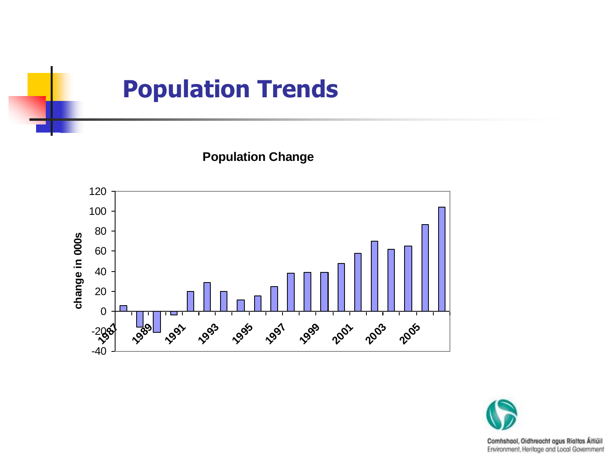#### **Population Trends**

**Population Change**



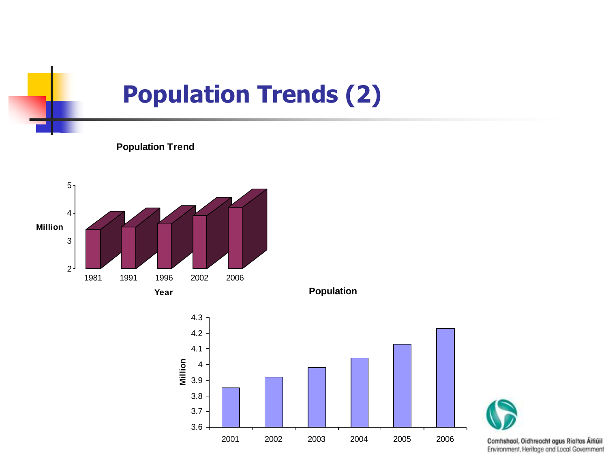#### **Population Trends (2)**







**Population**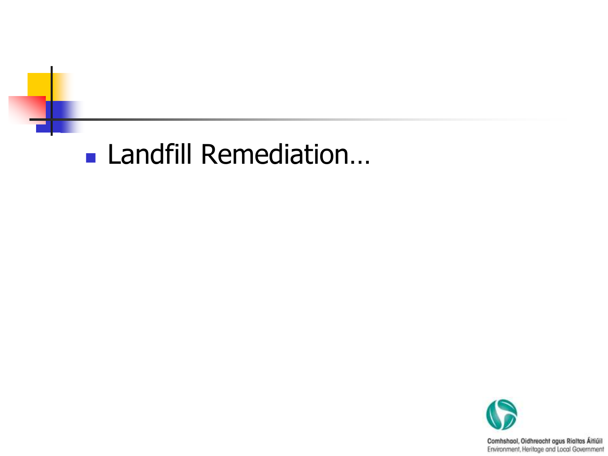### Landfill Remediation...

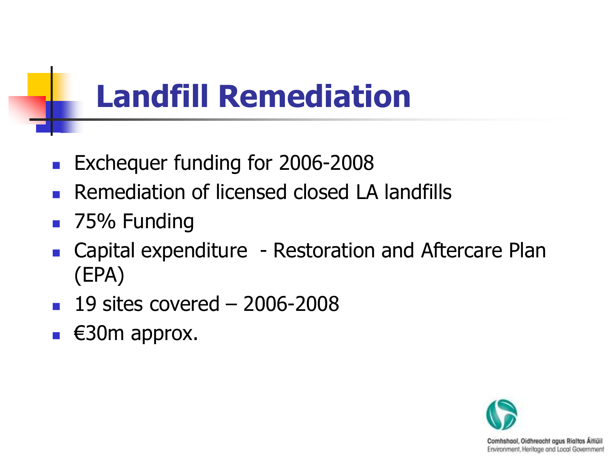### **Landfill Remediation**

- **Exchequer funding for 2006-2008**
- Remediation of licensed closed LA landfills
- 75% Funding
- Capital expenditure Restoration and Aftercare Plan (EPA)
- $19$  sites covered  $-2006 2008$
- $\blacksquare$   $\in$  30m approx.

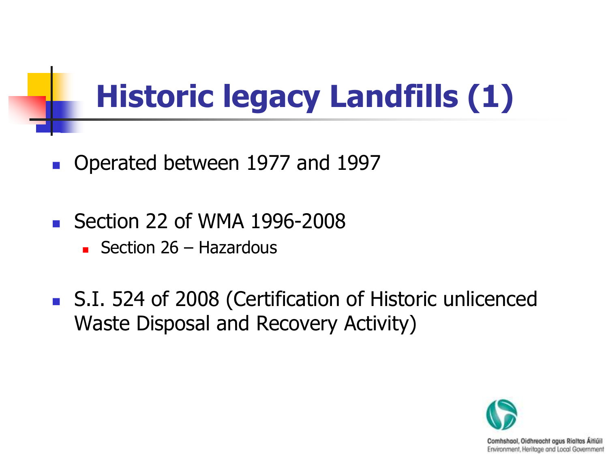### **Historic legacy Landfills (1)**

- Operated between 1977 and 1997
- Section 22 of WMA 1996-2008
	- Section  $26 -$  Hazardous
- S.I. 524 of 2008 (Certification of Historic unlicenced Waste Disposal and Recovery Activity)

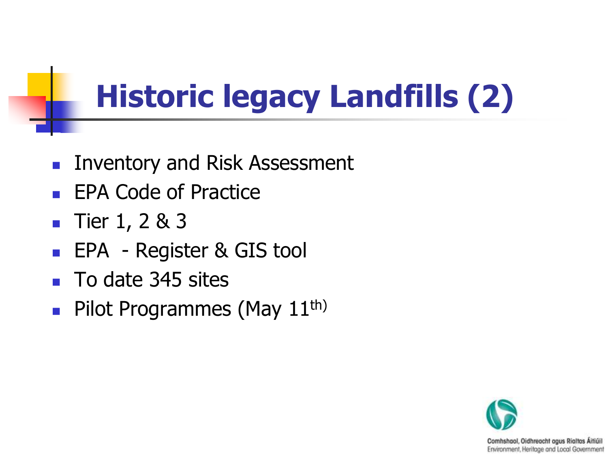### **Historic legacy Landfills (2)**

- **Inventory and Risk Assessment**
- **EPA Code of Practice**
- **Tier 1, 2 & 3**
- EPA Register & GIS tool
- To date 345 sites
- **Pilot Programmes (May 11th)**

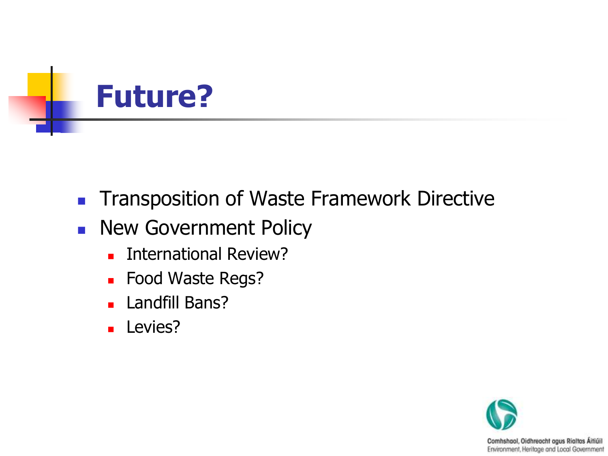

- **Transposition of Waste Framework Directive**
- **New Government Policy** 
	- **International Review?**
	- **Food Waste Regs?**
	- **Landfill Bans?**
	- **Levies?**